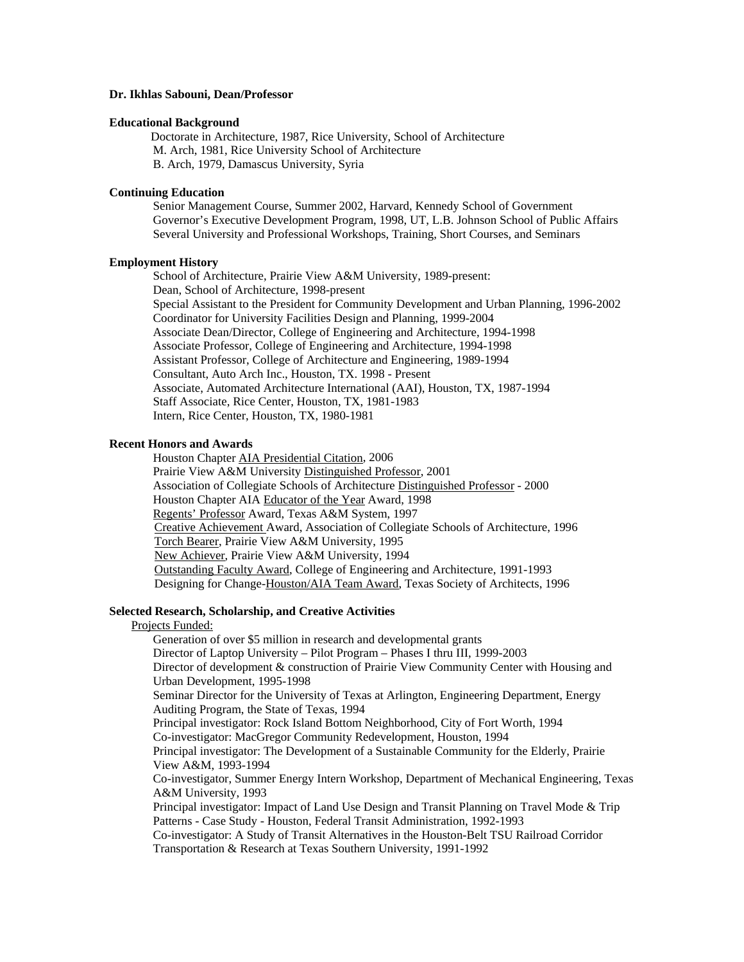# **Dr. Ikhlas Sabouni, Dean/Professor**

### **Educational Background**

Doctorate in Architecture, 1987, Rice University, School of Architecture M. Arch, 1981, Rice University School of Architecture B. Arch, 1979, Damascus University, Syria

# **Continuing Education**

Senior Management Course, Summer 2002, Harvard, Kennedy School of Government Governor's Executive Development Program, 1998, UT, L.B. Johnson School of Public Affairs Several University and Professional Workshops, Training, Short Courses, and Seminars

# **Employment History**

School of Architecture, Prairie View A&M University, 1989-present: Dean, School of Architecture, 1998-present Special Assistant to the President for Community Development and Urban Planning, 1996-2002 Coordinator for University Facilities Design and Planning, 1999-2004 Associate Dean/Director, College of Engineering and Architecture, 1994-1998 Associate Professor, College of Engineering and Architecture, 1994-1998 Assistant Professor, College of Architecture and Engineering, 1989-1994 Consultant, Auto Arch Inc., Houston, TX. 1998 - Present Associate, Automated Architecture International (AAI), Houston, TX, 1987-1994 Staff Associate, Rice Center, Houston, TX, 1981-1983 Intern, Rice Center, Houston, TX, 1980-1981

# **Recent Honors and Awards**

Houston Chapter AIA Presidential Citation, 2006 Prairie View A&M University Distinguished Professor, 2001 Association of Collegiate Schools of Architecture Distinguished Professor - 2000 Houston Chapter AIA Educator of the Year Award, 1998 Regents' Professor Award, Texas A&M System, 1997 Creative Achievement Award, Association of Collegiate Schools of Architecture, 1996 Torch Bearer, Prairie View A&M University, 1995 New Achiever, Prairie View A&M University, 1994 Outstanding Faculty Award, College of Engineering and Architecture, 1991-1993 Designing for Change-Houston/AIA Team Award, Texas Society of Architects, 1996

#### **Selected Research, Scholarship, and Creative Activities**

### Projects Funded:

Generation of over \$5 million in research and developmental grants Director of Laptop University – Pilot Program – Phases I thru III, 1999-2003 Director of development & construction of Prairie View Community Center with Housing and Urban Development, 1995-1998 Seminar Director for the University of Texas at Arlington, Engineering Department, Energy Auditing Program, the State of Texas, 1994 Principal investigator: Rock Island Bottom Neighborhood, City of Fort Worth, 1994 Co-investigator: MacGregor Community Redevelopment, Houston, 1994 Principal investigator: The Development of a Sustainable Community for the Elderly, Prairie View A&M, 1993-1994 Co-investigator, Summer Energy Intern Workshop, Department of Mechanical Engineering, Texas A&M University, 1993 Principal investigator: Impact of Land Use Design and Transit Planning on Travel Mode & Trip Patterns - Case Study - Houston, Federal Transit Administration, 1992-1993 Co-investigator: A Study of Transit Alternatives in the Houston-Belt TSU Railroad Corridor Transportation & Research at Texas Southern University, 1991-1992